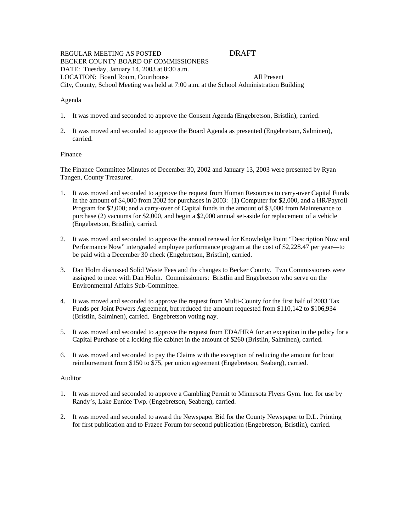# REGULAR MEETING AS POSTED DRAFT BECKER COUNTY BOARD OF COMMISSIONERS DATE: Tuesday, January 14, 2003 at 8:30 a.m. LOCATION: Board Room, Courthouse All Present City, County, School Meeting was held at 7:00 a.m. at the School Administration Building

## Agenda

- 1. It was moved and seconded to approve the Consent Agenda (Engebretson, Bristlin), carried.
- 2. It was moved and seconded to approve the Board Agenda as presented (Engebretson, Salminen), carried.

## Finance

The Finance Committee Minutes of December 30, 2002 and January 13, 2003 were presented by Ryan Tangen, County Treasurer.

- 1. It was moved and seconded to approve the request from Human Resources to carry-over Capital Funds in the amount of \$4,000 from 2002 for purchases in 2003: (1) Computer for \$2,000, and a HR/Payroll Program for \$2,000; and a carry-over of Capital funds in the amount of \$3,000 from Maintenance to purchase (2) vacuums for \$2,000, and begin a \$2,000 annual set-aside for replacement of a vehicle (Engebretson, Bristlin), carried.
- 2. It was moved and seconded to approve the annual renewal for Knowledge Point "Description Now and Performance Now" intergraded employee performance program at the cost of \$2,228.47 per year—to be paid with a December 30 check (Engebretson, Bristlin), carried.
- 3. Dan Holm discussed Solid Waste Fees and the changes to Becker County. Two Commissioners were assigned to meet with Dan Holm. Commissioners: Bristlin and Engebretson who serve on the Environmental Affairs Sub-Committee.
- 4. It was moved and seconded to approve the request from Multi-County for the first half of 2003 Tax Funds per Joint Powers Agreement, but reduced the amount requested from \$110,142 to \$106,934 (Bristlin, Salminen), carried. Engebretson voting nay.
- 5. It was moved and seconded to approve the request from EDA/HRA for an exception in the policy for a Capital Purchase of a locking file cabinet in the amount of \$260 (Bristlin, Salminen), carried.
- 6. It was moved and seconded to pay the Claims with the exception of reducing the amount for boot reimbursement from \$150 to \$75, per union agreement (Engebretson, Seaberg), carried.

### Auditor

- 1. It was moved and seconded to approve a Gambling Permit to Minnesota Flyers Gym. Inc. for use by Randy's, Lake Eunice Twp. (Engebretson, Seaberg), carried.
- 2. It was moved and seconded to award the Newspaper Bid for the County Newspaper to D.L. Printing for first publication and to Frazee Forum for second publication (Engebretson, Bristlin), carried.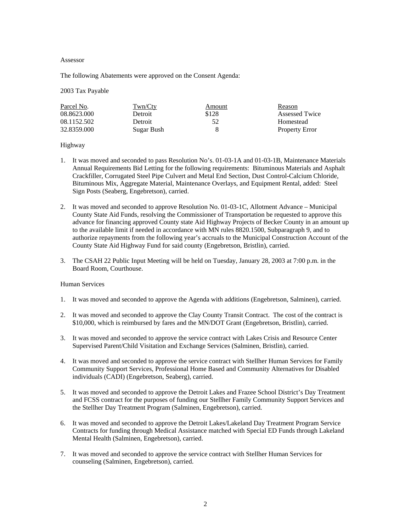#### Assessor

The following Abatements were approved on the Consent Agenda:

### 2003 Tax Payable

| Parcel No.  | Twn/Cty    | Amount | Reason                |
|-------------|------------|--------|-----------------------|
| 08.8623.000 | Detroit    | \$128  | Assessed Twice        |
| 08.1152.502 | Detroit    | 52     | Homestead             |
| 32.8359.000 | Sugar Bush |        | <b>Property Error</b> |

### Highway

- 1. It was moved and seconded to pass Resolution No's. 01-03-1A and 01-03-1B, Maintenance Materials Annual Requirements Bid Letting for the following requirements: Bituminous Materials and Asphalt Crackfiller, Corrugated Steel Pipe Culvert and Metal End Section, Dust Control-Calcium Chloride, Bituminous Mix, Aggregate Material, Maintenance Overlays, and Equipment Rental, added: Steel Sign Posts (Seaberg, Engebretson), carried.
- 2. It was moved and seconded to approve Resolution No. 01-03-1C, Allotment Advance Municipal County State Aid Funds, resolving the Commissioner of Transportation be requested to approve this advance for financing approved County state Aid Highway Projects of Becker County in an amount up to the available limit if needed in accordance with MN rules 8820.1500, Subparagraph 9, and to authorize repayments from the following year's accruals to the Municipal Construction Account of the County State Aid Highway Fund for said county (Engebretson, Bristlin), carried.
- 3. The CSAH 22 Public Input Meeting will be held on Tuesday, January 28, 2003 at 7:00 p.m. in the Board Room, Courthouse.

# Human Services

- 1. It was moved and seconded to approve the Agenda with additions (Engebretson, Salminen), carried.
- 2. It was moved and seconded to approve the Clay County Transit Contract. The cost of the contract is \$10,000, which is reimbursed by fares and the MN/DOT Grant (Engebretson, Bristlin), carried.
- 3. It was moved and seconded to approve the service contract with Lakes Crisis and Resource Center Supervised Parent/Child Visitation and Exchange Services (Salminen, Bristlin), carried.
- 4. It was moved and seconded to approve the service contract with Stellher Human Services for Family Community Support Services, Professional Home Based and Community Alternatives for Disabled individuals (CADI) (Engebretson, Seaberg), carried.
- 5. It was moved and seconded to approve the Detroit Lakes and Frazee School District's Day Treatment and FCSS contract for the purposes of funding our Stellher Family Community Support Services and the Stellher Day Treatment Program (Salminen, Engebretson), carried.
- 6. It was moved and seconded to approve the Detroit Lakes/Lakeland Day Treatment Program Service Contracts for funding through Medical Assistance matched with Special ED Funds through Lakeland Mental Health (Salminen, Engebretson), carried.
- 7. It was moved and seconded to approve the service contract with Stellher Human Services for counseling (Salminen, Engebretson), carried.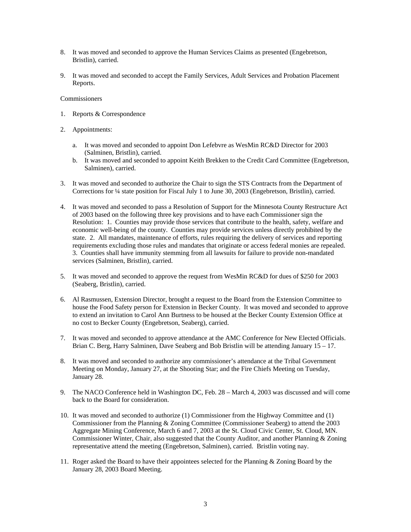- 8. It was moved and seconded to approve the Human Services Claims as presented (Engebretson, Bristlin), carried.
- 9. It was moved and seconded to accept the Family Services, Adult Services and Probation Placement Reports.

### **Commissioners**

- 1. Reports & Correspondence
- 2. Appointments:
	- a. It was moved and seconded to appoint Don Lefebvre as WesMin RC&D Director for 2003 (Salminen, Bristlin), carried.
	- b. It was moved and seconded to appoint Keith Brekken to the Credit Card Committee (Engebretson, Salminen), carried.
- 3. It was moved and seconded to authorize the Chair to sign the STS Contracts from the Department of Corrections for ¼ state position for Fiscal July 1 to June 30, 2003 (Engebretson, Bristlin), carried.
- 4. It was moved and seconded to pass a Resolution of Support for the Minnesota County Restructure Act of 2003 based on the following three key provisions and to have each Commissioner sign the Resolution: 1. Counties may provide those services that contribute to the health, safety, welfare and economic well-being of the county. Counties may provide services unless directly prohibited by the state. 2. All mandates, maintenance of efforts, rules requiring the delivery of services and reporting requirements excluding those rules and mandates that originate or access federal monies are repealed. 3. Counties shall have immunity stemming from all lawsuits for failure to provide non-mandated services (Salminen, Bristlin), carried.
- 5. It was moved and seconded to approve the request from WesMin RC&D for dues of \$250 for 2003 (Seaberg, Bristlin), carried.
- 6. Al Rasmussen, Extension Director, brought a request to the Board from the Extension Committee to house the Food Safety person for Extension in Becker County. It was moved and seconded to approve to extend an invitation to Carol Ann Burtness to be housed at the Becker County Extension Office at no cost to Becker County (Engebretson, Seaberg), carried.
- 7. It was moved and seconded to approve attendance at the AMC Conference for New Elected Officials. Brian C. Berg, Harry Salminen, Dave Seaberg and Bob Bristlin will be attending January 15 – 17.
- 8. It was moved and seconded to authorize any commissioner's attendance at the Tribal Government Meeting on Monday, January 27, at the Shooting Star; and the Fire Chiefs Meeting on Tuesday, January 28.
- 9. The NACO Conference held in Washington DC, Feb. 28 March 4, 2003 was discussed and will come back to the Board for consideration.
- 10. It was moved and seconded to authorize (1) Commissioner from the Highway Committee and (1) Commissioner from the Planning & Zoning Committee (Commissioner Seaberg) to attend the 2003 Aggregate Mining Conference, March 6 and 7, 2003 at the St. Cloud Civic Center, St. Cloud, MN. Commissioner Winter, Chair, also suggested that the County Auditor, and another Planning & Zoning representative attend the meeting (Engebretson, Salminen), carried. Bristlin voting nay.
- 11. Roger asked the Board to have their appointees selected for the Planning & Zoning Board by the January 28, 2003 Board Meeting.